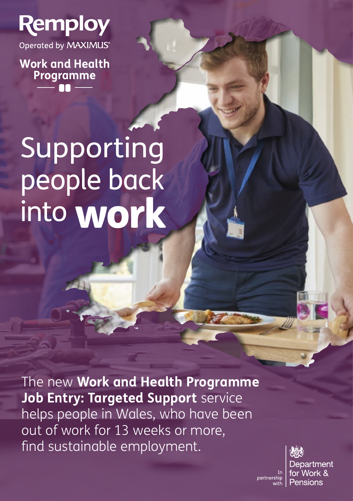

Operated by MAXIMUS®

**Work and Health Programme**

# Supporting people back into **work**

The new **Work and Health Programme Job Entry: Targeted Support** service helps people in Wales, who have been out of work for 13 weeks or more, find sustainable employment.



partnership